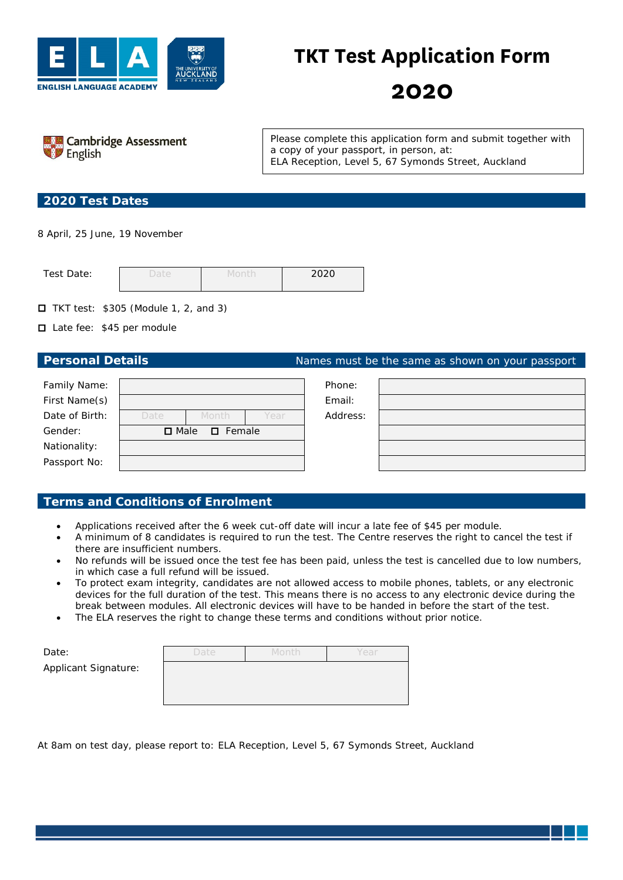

# **TKT Test Application Form**

**2020**



Please complete this application form and submit together with a copy of your passport, in person, at: *ELA Reception, Level 5, 67 Symonds Street, Auckland*

### **2020 Test Dates**

8 April, 25 June, 19 November

| Test Date: | Jate | ാറാറ |
|------------|------|------|
|            |      |      |

 $\Box$  TKT test: \$305 (Module 1, 2, and 3)

■ Late fee: \$45 per module

**Personal Details Personal Details** Names must be the same as shown on your passport

| Family Name:   |                                 |       |      | Phone:   |  |
|----------------|---------------------------------|-------|------|----------|--|
| First Name(s)  |                                 |       |      | Email:   |  |
| Date of Birth: | Date                            | Month | Year | Address: |  |
| Gender:        | $\Box$ Female<br>$\square$ Male |       |      |          |  |
| Nationality:   |                                 |       |      |          |  |
| Passport No:   |                                 |       |      |          |  |
|                |                                 |       |      |          |  |

## **Terms and Conditions of Enrolment**

- Applications received after the 6 week cut-off date will incur a late fee of \$45 per module.
- A minimum of 8 candidates is required to run the test. The Centre reserves the right to cancel the test if there are insufficient numbers.
- No refunds will be issued once the test fee has been paid, unless the test is cancelled due to low numbers, in which case a full refund will be issued.
- To protect exam integrity, candidates are not allowed access to mobile phones, tablets, or any electronic devices for the full duration of the test. This means there is no access to any electronic device during the break between modules. All electronic devices will have to be handed in before the start of the test.
- The ELA reserves the right to change these terms and conditions without prior notice.

| Date:                | Date | Month | Year |
|----------------------|------|-------|------|
| Applicant Signature: |      |       |      |
|                      |      |       |      |

At 8am on test day, please report to: *ELA Reception, Level 5, 67 Symonds Street, Auckland*